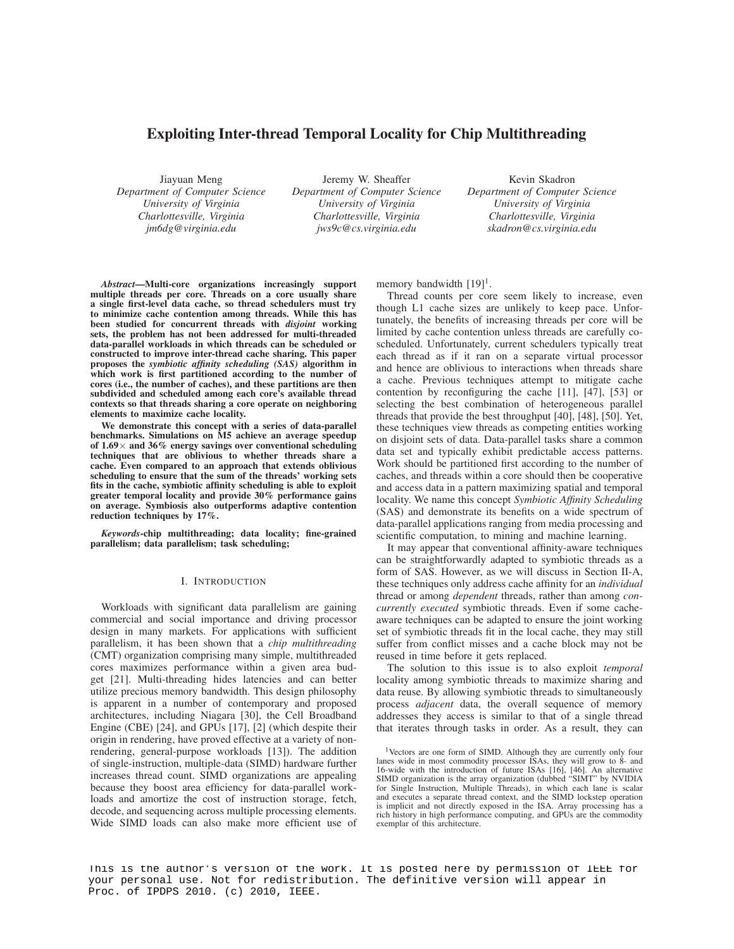# Exploiting Inter-thread Temporal Locality for Chip Multithreading

Jiayuan Meng *Department of Computer Science University of Virginia Charlottesville, Virginia jm6dg@virginia.edu*

Jeremy W. Sheaffer *Department of Computer Science University of Virginia Charlottesville, Virginia jws9c@cs.virginia.edu*

Kevin Skadron *Department of Computer Science University of Virginia Charlottesville, Virginia skadron@cs.virginia.edu*

*Abstract*—Multi-core organizations increasingly support multiple threads per core. Threads on a core usually share a single first-level data cache, so thread schedulers must try to minimize cache contention among threads. While this has been studied for concurrent threads with *disjoint* working sets, the problem has not been addressed for multi-threaded data-parallel workloads in which threads can be scheduled or constructed to improve inter-thread cache sharing. This paper proposes the *symbiotic affinity scheduling (SAS)* algorithm in which work is first partitioned according to the number of cores (i.e., the number of caches), and these partitions are then subdivided and scheduled among each core's available thread contexts so that threads sharing a core operate on neighboring elements to maximize cache locality.

We demonstrate this concept with a series of data-parallel benchmarks. Simulations on M5 achieve an average speedup of  $1.69\times$  and  $36\%$  energy savings over conventional scheduling techniques that are oblivious to whether threads share a cache. Even compared to an approach that extends oblivious scheduling to ensure that the sum of the threads' working sets fits in the cache, symbiotic affinity scheduling is able to exploit greater temporal locality and provide 30% performance gains on average. Symbiosis also outperforms adaptive contention reduction techniques by 17%.

*Keywords*-chip multithreading; data locality; fine-grained parallelism; data parallelism; task scheduling;

#### I. INTRODUCTION

Workloads with significant data parallelism are gaining commercial and social importance and driving processor design in many markets. For applications with sufficient parallelism, it has been shown that a *chip multithreading* (CMT) organization comprising many simple, multithreaded cores maximizes performance within a given area budget [21]. Multi-threading hides latencies and can better utilize precious memory bandwidth. This design philosophy is apparent in a number of contemporary and proposed architectures, including Niagara [30], the Cell Broadband Engine (CBE) [24], and GPUs [17], [2] (which despite their origin in rendering, have proved effective at a variety of nonrendering, general-purpose workloads [13]). The addition of single-instruction, multiple-data (SIMD) hardware further increases thread count. SIMD organizations are appealing because they boost area efficiency for data-parallel workloads and amortize the cost of instruction storage, fetch, decode, and sequencing across multiple processing elements. Wide SIMD loads can also make more efficient use of memory bandwidth  $[19]$ <sup>1</sup>.

Thread counts per core seem likely to increase, even though L1 cache sizes are unlikely to keep pace. Unfortunately, the benefits of increasing threads per core will be limited by cache contention unless threads are carefully coscheduled. Unfortunately, current schedulers typically treat each thread as if it ran on a separate virtual processor and hence are oblivious to interactions when threads share a cache. Previous techniques attempt to mitigate cache contention by reconfiguring the cache [11], [47], [53] or selecting the best combination of heterogeneous parallel threads that provide the best throughput [40], [48], [50]. Yet, these techniques view threads as competing entities working on disjoint sets of data. Data-parallel tasks share a common data set and typically exhibit predictable access patterns. Work should be partitioned first according to the number of caches, and threads within a core should then be cooperative and access data in a pattern maximizing spatial and temporal locality. We name this concept *Symbiotic Affinity Scheduling* (SAS) and demonstrate its benefits on a wide spectrum of data-parallel applications ranging from media processing and scientific computation, to mining and machine learning.

It may appear that conventional affinity-aware techniques can be straightforwardly adapted to symbiotic threads as a form of SAS. However, as we will discuss in Section II-A, these techniques only address cache affinity for an *individual* thread or among *dependent* threads, rather than among *concurrently executed* symbiotic threads. Even if some cacheaware techniques can be adapted to ensure the joint working set of symbiotic threads fit in the local cache, they may still suffer from conflict misses and a cache block may not be reused in time before it gets replaced.

The solution to this issue is to also exploit *temporal* locality among symbiotic threads to maximize sharing and data reuse. By allowing symbiotic threads to simultaneously process *adjacent* data, the overall sequence of memory addresses they access is similar to that of a single thread that iterates through tasks in order. As a result, they can

1Vectors are one form of SIMD. Although they are currently only four lanes wide in most commodity processor ISAs, they will grow to 8- and 16-wide with the introduction of future ISAs [16], [46]. An alternative SIMD organization is the array organization (dubbed "SIMT" by NVIDIA for Single Instruction, Multiple Threads), in which each lane is scalar and executes a separate thread context, and the SIMD lockstep operation is implicit and not directly exposed in the ISA. Array processing has a rich history in high performance computing, and GPUs are the commodity exemplar of this architecture.

This is the author's version of the work. It is posted here by permission of IEEE for your personal use. Not for redistribution. The definitive version will appear in Proc. of IPDPS 2010. (c) 2010, IEEE.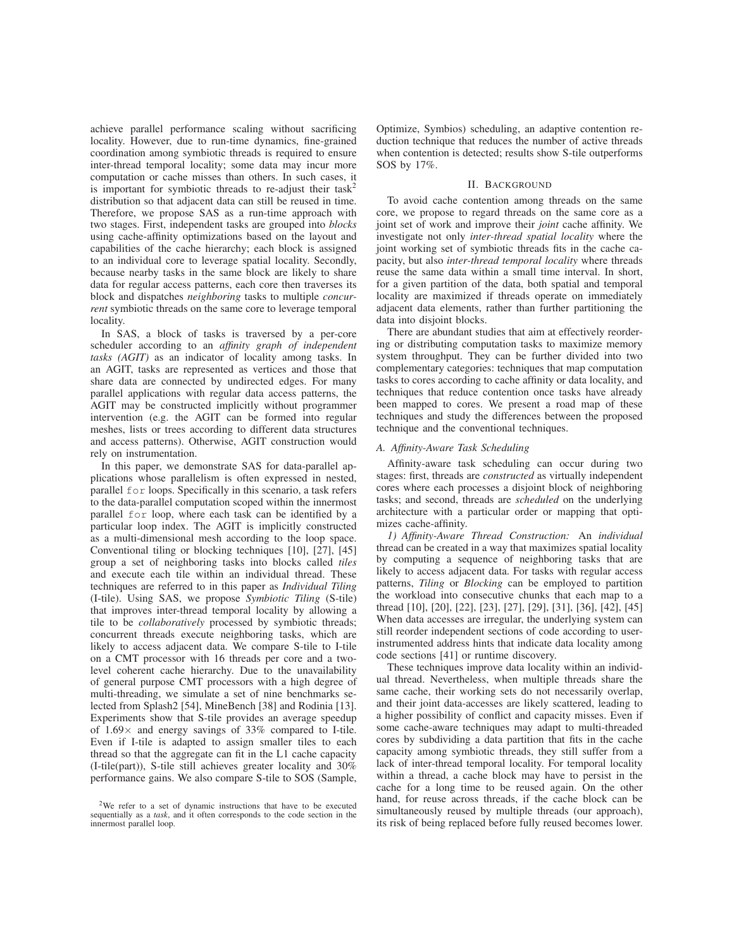achieve parallel performance scaling without sacrificing locality. However, due to run-time dynamics, fine-grained coordination among symbiotic threads is required to ensure inter-thread temporal locality; some data may incur more computation or cache misses than others. In such cases, it is important for symbiotic threads to re-adjust their task<sup>2</sup> distribution so that adjacent data can still be reused in time. Therefore, we propose SAS as a run-time approach with two stages. First, independent tasks are grouped into *blocks* using cache-affinity optimizations based on the layout and capabilities of the cache hierarchy; each block is assigned to an individual core to leverage spatial locality. Secondly, because nearby tasks in the same block are likely to share data for regular access patterns, each core then traverses its block and dispatches *neighboring* tasks to multiple *concurrent* symbiotic threads on the same core to leverage temporal locality.

In SAS, a block of tasks is traversed by a per-core scheduler according to an *affinity graph of independent tasks (AGIT)* as an indicator of locality among tasks. In an AGIT, tasks are represented as vertices and those that share data are connected by undirected edges. For many parallel applications with regular data access patterns, the AGIT may be constructed implicitly without programmer intervention (e.g. the AGIT can be formed into regular meshes, lists or trees according to different data structures and access patterns). Otherwise, AGIT construction would rely on instrumentation.

In this paper, we demonstrate SAS for data-parallel applications whose parallelism is often expressed in nested, parallel for loops. Specifically in this scenario, a task refers to the data-parallel computation scoped within the innermost parallel for loop, where each task can be identified by a particular loop index. The AGIT is implicitly constructed as a multi-dimensional mesh according to the loop space. Conventional tiling or blocking techniques [10], [27], [45] group a set of neighboring tasks into blocks called *tiles* and execute each tile within an individual thread. These techniques are referred to in this paper as *Individual Tiling* (I-tile). Using SAS, we propose *Symbiotic Tiling* (S-tile) that improves inter-thread temporal locality by allowing a tile to be *collaboratively* processed by symbiotic threads; concurrent threads execute neighboring tasks, which are likely to access adjacent data. We compare S-tile to I-tile on a CMT processor with 16 threads per core and a twolevel coherent cache hierarchy. Due to the unavailability of general purpose CMT processors with a high degree of multi-threading, we simulate a set of nine benchmarks selected from Splash2 [54], MineBench [38] and Rodinia [13]. Experiments show that S-tile provides an average speedup of  $1.69\times$  and energy savings of 33% compared to I-tile. Even if I-tile is adapted to assign smaller tiles to each thread so that the aggregate can fit in the L1 cache capacity (I-tile(part)), S-tile still achieves greater locality and 30% performance gains. We also compare S-tile to SOS (Sample,

Optimize, Symbios) scheduling, an adaptive contention reduction technique that reduces the number of active threads when contention is detected; results show S-tile outperforms SOS by 17%.

#### II. BACKGROUND

To avoid cache contention among threads on the same core, we propose to regard threads on the same core as a joint set of work and improve their *joint* cache affinity. We investigate not only *inter-thread spatial locality* where the joint working set of symbiotic threads fits in the cache capacity, but also *inter-thread temporal locality* where threads reuse the same data within a small time interval. In short, for a given partition of the data, both spatial and temporal locality are maximized if threads operate on immediately adjacent data elements, rather than further partitioning the data into disjoint blocks.

There are abundant studies that aim at effectively reordering or distributing computation tasks to maximize memory system throughput. They can be further divided into two complementary categories: techniques that map computation tasks to cores according to cache affinity or data locality, and techniques that reduce contention once tasks have already been mapped to cores. We present a road map of these techniques and study the differences between the proposed technique and the conventional techniques.

### *A. Affinity-Aware Task Scheduling*

Affinity-aware task scheduling can occur during two stages: first, threads are *constructed* as virtually independent cores where each processes a disjoint block of neighboring tasks; and second, threads are *scheduled* on the underlying architecture with a particular order or mapping that optimizes cache-affinity.

*1) Affinity-Aware Thread Construction:* An *individual* thread can be created in a way that maximizes spatial locality by computing a sequence of neighboring tasks that are likely to access adjacent data. For tasks with regular access patterns, *Tiling* or *Blocking* can be employed to partition the workload into consecutive chunks that each map to a thread [10], [20], [22], [23], [27], [29], [31], [36], [42], [45] When data accesses are irregular, the underlying system can still reorder independent sections of code according to userinstrumented address hints that indicate data locality among code sections [41] or runtime discovery.

These techniques improve data locality within an individual thread. Nevertheless, when multiple threads share the same cache, their working sets do not necessarily overlap, and their joint data-accesses are likely scattered, leading to a higher possibility of conflict and capacity misses. Even if some cache-aware techniques may adapt to multi-threaded cores by subdividing a data partition that fits in the cache capacity among symbiotic threads, they still suffer from a lack of inter-thread temporal locality. For temporal locality within a thread, a cache block may have to persist in the cache for a long time to be reused again. On the other hand, for reuse across threads, if the cache block can be simultaneously reused by multiple threads (our approach), its risk of being replaced before fully reused becomes lower.

<sup>2</sup>We refer to a set of dynamic instructions that have to be executed sequentially as a *task*, and it often corresponds to the code section in the innermost parallel loop.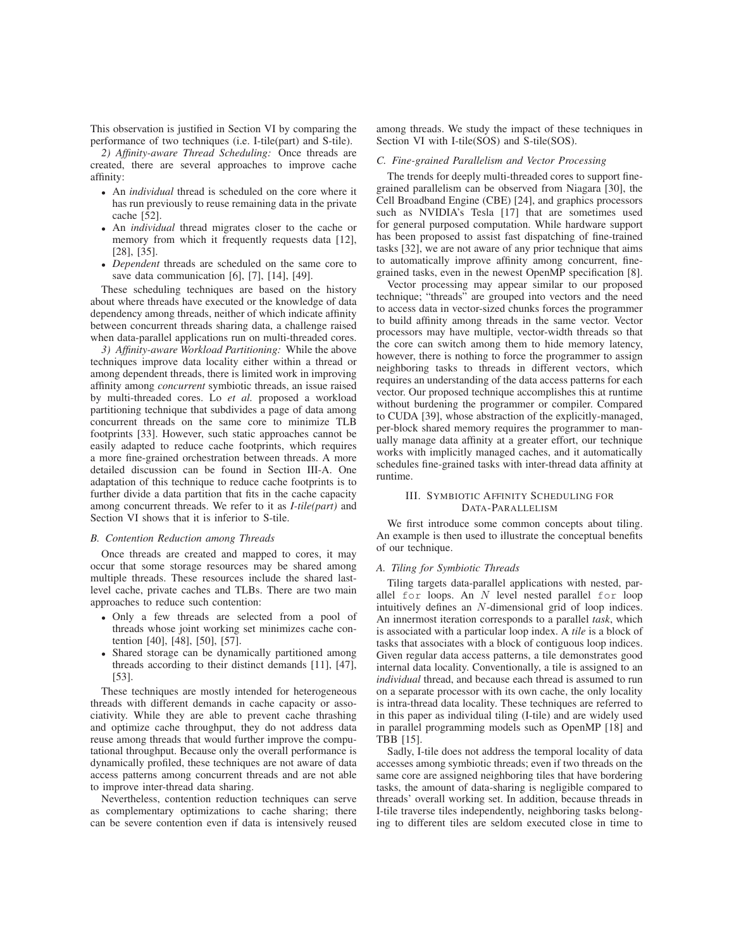This observation is justified in Section VI by comparing the performance of two techniques (i.e. I-tile(part) and S-tile).

*2) Affinity-aware Thread Scheduling:* Once threads are created, there are several approaches to improve cache affinity:

- An *individual* thread is scheduled on the core where it has run previously to reuse remaining data in the private cache [52].
- An *individual* thread migrates closer to the cache or memory from which it frequently requests data [12], [28], [35].
- *Dependent* threads are scheduled on the same core to save data communication [6], [7], [14], [49].

These scheduling techniques are based on the history about where threads have executed or the knowledge of data dependency among threads, neither of which indicate affinity between concurrent threads sharing data, a challenge raised when data-parallel applications run on multi-threaded cores.

*3) Affinity-aware Workload Partitioning:* While the above techniques improve data locality either within a thread or among dependent threads, there is limited work in improving affinity among *concurrent* symbiotic threads, an issue raised by multi-threaded cores. Lo *et al.* proposed a workload partitioning technique that subdivides a page of data among concurrent threads on the same core to minimize TLB footprints [33]. However, such static approaches cannot be easily adapted to reduce cache footprints, which requires a more fine-grained orchestration between threads. A more detailed discussion can be found in Section III-A. One adaptation of this technique to reduce cache footprints is to further divide a data partition that fits in the cache capacity among concurrent threads. We refer to it as *I-tile(part)* and Section VI shows that it is inferior to S-tile.

# *B. Contention Reduction among Threads*

Once threads are created and mapped to cores, it may occur that some storage resources may be shared among multiple threads. These resources include the shared lastlevel cache, private caches and TLBs. There are two main approaches to reduce such contention:

- Only a few threads are selected from a pool of threads whose joint working set minimizes cache contention [40], [48], [50], [57].
- Shared storage can be dynamically partitioned among threads according to their distinct demands [11], [47], [53].

These techniques are mostly intended for heterogeneous threads with different demands in cache capacity or associativity. While they are able to prevent cache thrashing and optimize cache throughput, they do not address data reuse among threads that would further improve the computational throughput. Because only the overall performance is dynamically profiled, these techniques are not aware of data access patterns among concurrent threads and are not able to improve inter-thread data sharing.

Nevertheless, contention reduction techniques can serve as complementary optimizations to cache sharing; there can be severe contention even if data is intensively reused

among threads. We study the impact of these techniques in Section VI with I-tile(SOS) and S-tile(SOS).

#### *C. Fine-grained Parallelism and Vector Processing*

The trends for deeply multi-threaded cores to support finegrained parallelism can be observed from Niagara [30], the Cell Broadband Engine (CBE) [24], and graphics processors such as NVIDIA's Tesla [17] that are sometimes used for general purposed computation. While hardware support has been proposed to assist fast dispatching of fine-trained tasks [32], we are not aware of any prior technique that aims to automatically improve affinity among concurrent, finegrained tasks, even in the newest OpenMP specification [8].

Vector processing may appear similar to our proposed technique; "threads" are grouped into vectors and the need to access data in vector-sized chunks forces the programmer to build affinity among threads in the same vector. Vector processors may have multiple, vector-width threads so that the core can switch among them to hide memory latency, however, there is nothing to force the programmer to assign neighboring tasks to threads in different vectors, which requires an understanding of the data access patterns for each vector. Our proposed technique accomplishes this at runtime without burdening the programmer or compiler. Compared to CUDA [39], whose abstraction of the explicitly-managed, per-block shared memory requires the programmer to manually manage data affinity at a greater effort, our technique works with implicitly managed caches, and it automatically schedules fine-grained tasks with inter-thread data affinity at runtime.

# III. SYMBIOTIC AFFINITY SCHEDULING FOR DATA-PARALLELISM

We first introduce some common concepts about tiling. An example is then used to illustrate the conceptual benefits of our technique.

#### *A. Tiling for Symbiotic Threads*

Tiling targets data-parallel applications with nested, parallel for loops. An <sup>N</sup> level nested parallel for loop intuitively defines an N-dimensional grid of loop indices. An innermost iteration corresponds to a parallel *task*, which is associated with a particular loop index. A *tile* is a block of tasks that associates with a block of contiguous loop indices. Given regular data access patterns, a tile demonstrates good internal data locality. Conventionally, a tile is assigned to an *individual* thread, and because each thread is assumed to run on a separate processor with its own cache, the only locality is intra-thread data locality. These techniques are referred to in this paper as individual tiling (I-tile) and are widely used in parallel programming models such as OpenMP [18] and TBB [15].

Sadly, I-tile does not address the temporal locality of data accesses among symbiotic threads; even if two threads on the same core are assigned neighboring tiles that have bordering tasks, the amount of data-sharing is negligible compared to threads' overall working set. In addition, because threads in I-tile traverse tiles independently, neighboring tasks belonging to different tiles are seldom executed close in time to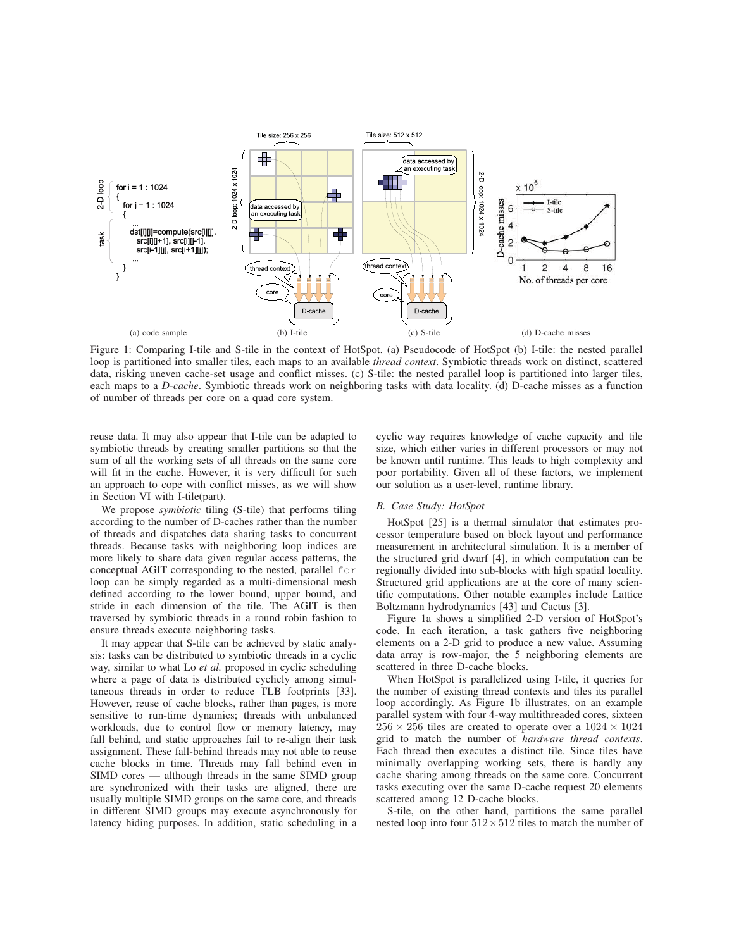

Figure 1: Comparing I-tile and S-tile in the context of HotSpot. (a) Pseudocode of HotSpot (b) I-tile: the nested parallel loop is partitioned into smaller tiles, each maps to an available *thread context*. Symbiotic threads work on distinct, scattered data, risking uneven cache-set usage and conflict misses. (c) S-tile: the nested parallel loop is partitioned into larger tiles, each maps to a *D-cache*. Symbiotic threads work on neighboring tasks with data locality. (d) D-cache misses as a function of number of threads per core on a quad core system.

reuse data. It may also appear that I-tile can be adapted to symbiotic threads by creating smaller partitions so that the sum of all the working sets of all threads on the same core will fit in the cache. However, it is very difficult for such an approach to cope with conflict misses, as we will show in Section VI with I-tile(part).

We propose *symbiotic* tiling (S-tile) that performs tiling according to the number of D-caches rather than the number of threads and dispatches data sharing tasks to concurrent threads. Because tasks with neighboring loop indices are more likely to share data given regular access patterns, the conceptual AGIT corresponding to the nested, parallel for loop can be simply regarded as a multi-dimensional mesh defined according to the lower bound, upper bound, and stride in each dimension of the tile. The AGIT is then traversed by symbiotic threads in a round robin fashion to ensure threads execute neighboring tasks.

It may appear that S-tile can be achieved by static analysis: tasks can be distributed to symbiotic threads in a cyclic way, similar to what Lo *et al.* proposed in cyclic scheduling where a page of data is distributed cyclicly among simultaneous threads in order to reduce TLB footprints [33]. However, reuse of cache blocks, rather than pages, is more sensitive to run-time dynamics; threads with unbalanced workloads, due to control flow or memory latency, may fall behind, and static approaches fail to re-align their task assignment. These fall-behind threads may not able to reuse cache blocks in time. Threads may fall behind even in SIMD cores — although threads in the same SIMD group are synchronized with their tasks are aligned, there are usually multiple SIMD groups on the same core, and threads in different SIMD groups may execute asynchronously for latency hiding purposes. In addition, static scheduling in a

cyclic way requires knowledge of cache capacity and tile size, which either varies in different processors or may not be known until runtime. This leads to high complexity and poor portability. Given all of these factors, we implement our solution as a user-level, runtime library.

# *B. Case Study: HotSpot*

HotSpot [25] is a thermal simulator that estimates processor temperature based on block layout and performance measurement in architectural simulation. It is a member of the structured grid dwarf [4], in which computation can be regionally divided into sub-blocks with high spatial locality. Structured grid applications are at the core of many scientific computations. Other notable examples include Lattice Boltzmann hydrodynamics [43] and Cactus [3].

Figure 1a shows a simplified 2-D version of HotSpot's code. In each iteration, a task gathers five neighboring elements on a 2-D grid to produce a new value. Assuming data array is row-major, the 5 neighboring elements are scattered in three D-cache blocks.

When HotSpot is parallelized using I-tile, it queries for the number of existing thread contexts and tiles its parallel loop accordingly. As Figure 1b illustrates, on an example parallel system with four 4-way multithreaded cores, sixteen  $256 \times 256$  tiles are created to operate over a  $1024 \times 1024$ grid to match the number of *hardware thread contexts*. Each thread then executes a distinct tile. Since tiles have minimally overlapping working sets, there is hardly any cache sharing among threads on the same core. Concurrent tasks executing over the same D-cache request 20 elements scattered among 12 D-cache blocks.

S-tile, on the other hand, partitions the same parallel nested loop into four  $512 \times 512$  tiles to match the number of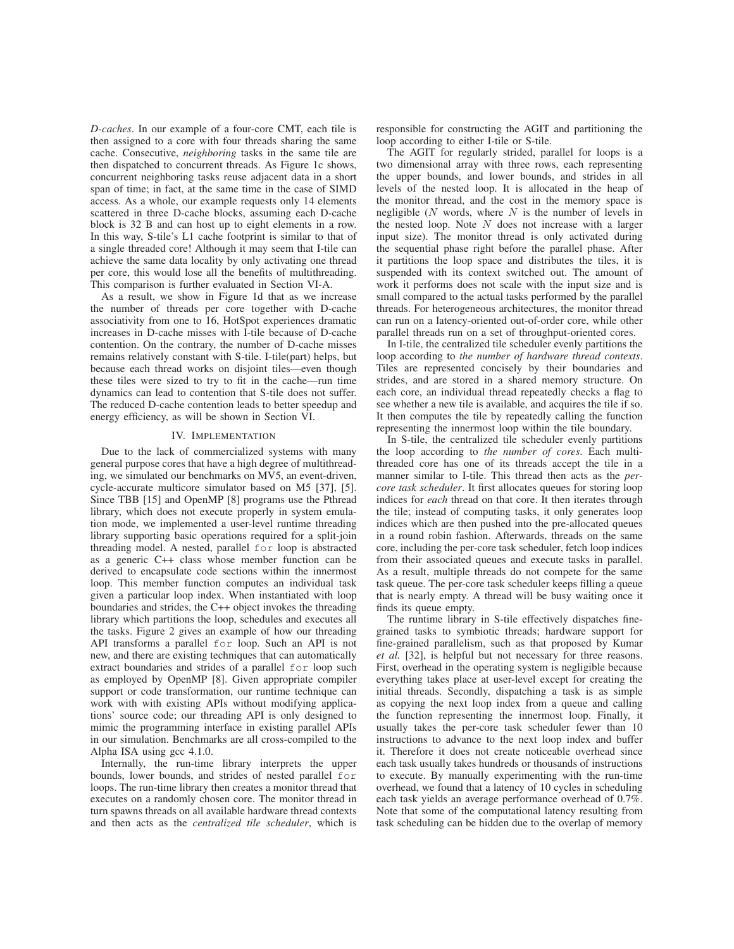*D-caches*. In our example of a four-core CMT, each tile is then assigned to a core with four threads sharing the same cache. Consecutive, *neighboring* tasks in the same tile are then dispatched to concurrent threads. As Figure 1c shows, concurrent neighboring tasks reuse adjacent data in a short span of time; in fact, at the same time in the case of SIMD access. As a whole, our example requests only 14 elements scattered in three D-cache blocks, assuming each D-cache block is 32 B and can host up to eight elements in a row. In this way, S-tile's L1 cache footprint is similar to that of a single threaded core! Although it may seem that I-tile can achieve the same data locality by only activating one thread per core, this would lose all the benefits of multithreading. This comparison is further evaluated in Section VI-A.

As a result, we show in Figure 1d that as we increase the number of threads per core together with D-cache associativity from one to 16, HotSpot experiences dramatic increases in D-cache misses with I-tile because of D-cache contention. On the contrary, the number of D-cache misses remains relatively constant with S-tile. I-tile(part) helps, but because each thread works on disjoint tiles—even though these tiles were sized to try to fit in the cache—run time dynamics can lead to contention that S-tile does not suffer. The reduced D-cache contention leads to better speedup and energy efficiency, as will be shown in Section VI.

# IV. IMPLEMENTATION

Due to the lack of commercialized systems with many general purpose cores that have a high degree of multithreading, we simulated our benchmarks on MV5, an event-driven, cycle-accurate multicore simulator based on M5 [37], [5]. Since TBB [15] and OpenMP [8] programs use the Pthread library, which does not execute properly in system emulation mode, we implemented a user-level runtime threading library supporting basic operations required for a split-join threading model. A nested, parallel for loop is abstracted as a generic C++ class whose member function can be derived to encapsulate code sections within the innermost loop. This member function computes an individual task given a particular loop index. When instantiated with loop boundaries and strides, the C++ object invokes the threading library which partitions the loop, schedules and executes all the tasks. Figure 2 gives an example of how our threading API transforms a parallel for loop. Such an API is not new, and there are existing techniques that can automatically extract boundaries and strides of a parallel for loop such as employed by OpenMP [8]. Given appropriate compiler support or code transformation, our runtime technique can work with with existing APIs without modifying applications' source code; our threading API is only designed to mimic the programming interface in existing parallel APIs in our simulation. Benchmarks are all cross-compiled to the Alpha ISA using gcc 4.1.0.

Internally, the run-time library interprets the upper bounds, lower bounds, and strides of nested parallel for loops. The run-time library then creates a monitor thread that executes on a randomly chosen core. The monitor thread in turn spawns threads on all available hardware thread contexts and then acts as the *centralized tile scheduler*, which is

responsible for constructing the AGIT and partitioning the loop according to either I-tile or S-tile.

The AGIT for regularly strided, parallel for loops is a two dimensional array with three rows, each representing the upper bounds, and lower bounds, and strides in all levels of the nested loop. It is allocated in the heap of the monitor thread, and the cost in the memory space is negligible  $(N$  words, where  $N$  is the number of levels in the nested loop. Note  $N$  does not increase with a larger input size). The monitor thread is only activated during the sequential phase right before the parallel phase. After it partitions the loop space and distributes the tiles, it is suspended with its context switched out. The amount of work it performs does not scale with the input size and is small compared to the actual tasks performed by the parallel threads. For heterogeneous architectures, the monitor thread can run on a latency-oriented out-of-order core, while other parallel threads run on a set of throughput-oriented cores.

In I-tile, the centralized tile scheduler evenly partitions the loop according to *the number of hardware thread contexts*. Tiles are represented concisely by their boundaries and strides, and are stored in a shared memory structure. On each core, an individual thread repeatedly checks a flag to see whether a new tile is available, and acquires the tile if so. It then computes the tile by repeatedly calling the function representing the innermost loop within the tile boundary.

In S-tile, the centralized tile scheduler evenly partitions the loop according to *the number of cores*. Each multithreaded core has one of its threads accept the tile in a manner similar to I-tile. This thread then acts as the *percore task scheduler*. It first allocates queues for storing loop indices for *each* thread on that core. It then iterates through the tile; instead of computing tasks, it only generates loop indices which are then pushed into the pre-allocated queues in a round robin fashion. Afterwards, threads on the same core, including the per-core task scheduler, fetch loop indices from their associated queues and execute tasks in parallel. As a result, multiple threads do not compete for the same task queue. The per-core task scheduler keeps filling a queue that is nearly empty. A thread will be busy waiting once it finds its queue empty.

The runtime library in S-tile effectively dispatches finegrained tasks to symbiotic threads; hardware support for fine-grained parallelism, such as that proposed by Kumar *et al.* [32], is helpful but not necessary for three reasons. First, overhead in the operating system is negligible because everything takes place at user-level except for creating the initial threads. Secondly, dispatching a task is as simple as copying the next loop index from a queue and calling the function representing the innermost loop. Finally, it usually takes the per-core task scheduler fewer than 10 instructions to advance to the next loop index and buffer it. Therefore it does not create noticeable overhead since each task usually takes hundreds or thousands of instructions to execute. By manually experimenting with the run-time overhead, we found that a latency of 10 cycles in scheduling each task yields an average performance overhead of 0.7%. Note that some of the computational latency resulting from task scheduling can be hidden due to the overlap of memory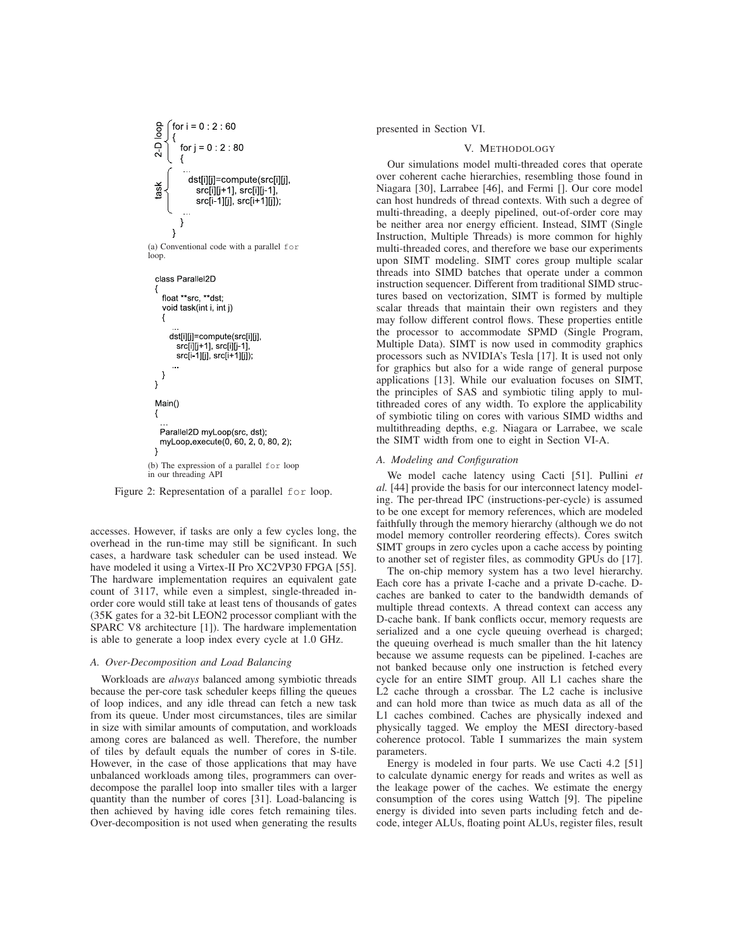

(a) Conventional code with a parallel for loop.

class Parallel2D float \*\*src, \*\*dst; void task(int i, int j) dst[i][j]=compute(src[i][j], src[i][j+1], src[i][j-1], src[i-1][j], src[i+1][j]); }  $\mathcal{E}$ Main() Parallel2D myLoop(src, dst); myLoop.execute(0, 60, 2, 0, 80, 2);  $\mathcal{E}$ (b) The expression of a parallel for loop in our threading API

Figure 2: Representation of a parallel for loop.

accesses. However, if tasks are only a few cycles long, the overhead in the run-time may still be significant. In such cases, a hardware task scheduler can be used instead. We have modeled it using a Virtex-II Pro XC2VP30 FPGA [55]. The hardware implementation requires an equivalent gate count of 3117, while even a simplest, single-threaded inorder core would still take at least tens of thousands of gates (35K gates for a 32-bit LEON2 processor compliant with the SPARC V8 architecture [1]). The hardware implementation is able to generate a loop index every cycle at 1.0 GHz.

#### *A. Over-Decomposition and Load Balancing*

Workloads are *always* balanced among symbiotic threads because the per-core task scheduler keeps filling the queues of loop indices, and any idle thread can fetch a new task from its queue. Under most circumstances, tiles are similar in size with similar amounts of computation, and workloads among cores are balanced as well. Therefore, the number of tiles by default equals the number of cores in S-tile. However, in the case of those applications that may have unbalanced workloads among tiles, programmers can overdecompose the parallel loop into smaller tiles with a larger quantity than the number of cores [31]. Load-balancing is then achieved by having idle cores fetch remaining tiles. Over-decomposition is not used when generating the results

presented in Section VI.

# V. METHODOLOGY

Our simulations model multi-threaded cores that operate over coherent cache hierarchies, resembling those found in Niagara [30], Larrabee [46], and Fermi []. Our core model can host hundreds of thread contexts. With such a degree of multi-threading, a deeply pipelined, out-of-order core may be neither area nor energy efficient. Instead, SIMT (Single Instruction, Multiple Threads) is more common for highly multi-threaded cores, and therefore we base our experiments upon SIMT modeling. SIMT cores group multiple scalar threads into SIMD batches that operate under a common instruction sequencer. Different from traditional SIMD structures based on vectorization, SIMT is formed by multiple scalar threads that maintain their own registers and they may follow different control flows. These properties entitle the processor to accommodate SPMD (Single Program, Multiple Data). SIMT is now used in commodity graphics processors such as NVIDIA's Tesla [17]. It is used not only for graphics but also for a wide range of general purpose applications [13]. While our evaluation focuses on SIMT, the principles of SAS and symbiotic tiling apply to multithreaded cores of any width. To explore the applicability of symbiotic tiling on cores with various SIMD widths and multithreading depths, e.g. Niagara or Larrabee, we scale the SIMT width from one to eight in Section VI-A.

### *A. Modeling and Configuration*

We model cache latency using Cacti [51]. Pullini *et al.* [44] provide the basis for our interconnect latency modeling. The per-thread IPC (instructions-per-cycle) is assumed to be one except for memory references, which are modeled faithfully through the memory hierarchy (although we do not model memory controller reordering effects). Cores switch SIMT groups in zero cycles upon a cache access by pointing to another set of register files, as commodity GPUs do [17].

The on-chip memory system has a two level hierarchy. Each core has a private I-cache and a private D-cache. Dcaches are banked to cater to the bandwidth demands of multiple thread contexts. A thread context can access any D-cache bank. If bank conflicts occur, memory requests are serialized and a one cycle queuing overhead is charged; the queuing overhead is much smaller than the hit latency because we assume requests can be pipelined. I-caches are not banked because only one instruction is fetched every cycle for an entire SIMT group. All L1 caches share the L2 cache through a crossbar. The L2 cache is inclusive and can hold more than twice as much data as all of the L1 caches combined. Caches are physically indexed and physically tagged. We employ the MESI directory-based coherence protocol. Table I summarizes the main system parameters.

Energy is modeled in four parts. We use Cacti 4.2 [51] to calculate dynamic energy for reads and writes as well as the leakage power of the caches. We estimate the energy consumption of the cores using Wattch [9]. The pipeline energy is divided into seven parts including fetch and decode, integer ALUs, floating point ALUs, register files, result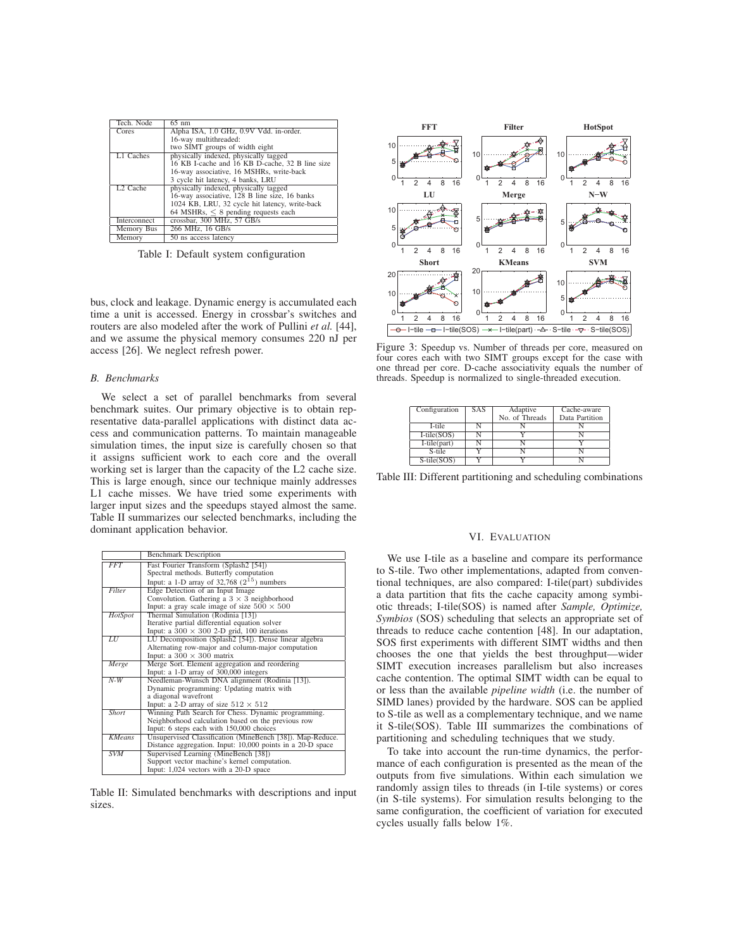| Tech. Node           | $65 \text{ nm}$                                 |  |  |
|----------------------|-------------------------------------------------|--|--|
| Cores                | Alpha ISA, 1.0 GHz, 0.9V Vdd. in-order.         |  |  |
|                      | 16-way multithreaded:                           |  |  |
|                      | two SIMT groups of width eight                  |  |  |
| L1 Caches            | physically indexed, physically tagged           |  |  |
|                      | 16 KB I-cache and 16 KB D-cache, 32 B line size |  |  |
|                      | 16-way associative, 16 MSHRs, write-back        |  |  |
|                      | 3 cycle hit latency, 4 banks, LRU               |  |  |
| L <sub>2</sub> Cache | physically indexed, physically tagged           |  |  |
|                      | 16-way associative, 128 B line size, 16 banks   |  |  |
|                      | 1024 KB, LRU, 32 cycle hit latency, write-back  |  |  |
|                      | 64 MSHRs, $\leq 8$ pending requests each        |  |  |
| Interconnect         | crossbar, 300 MHz, 57 GB/s                      |  |  |
| Memory Bus           | 266 MHz, 16 GB/s                                |  |  |
| Memory               | 50 ns access latency                            |  |  |

Table I: Default system configuration

bus, clock and leakage. Dynamic energy is accumulated each time a unit is accessed. Energy in crossbar's switches and routers are also modeled after the work of Pullini *et al.* [44], and we assume the physical memory consumes 220 nJ per access [26]. We neglect refresh power.

#### *B. Benchmarks*

We select a set of parallel benchmarks from several benchmark suites. Our primary objective is to obtain representative data-parallel applications with distinct data access and communication patterns. To maintain manageable simulation times, the input size is carefully chosen so that it assigns sufficient work to each core and the overall working set is larger than the capacity of the L2 cache size. This is large enough, since our technique mainly addresses L1 cache misses. We have tried some experiments with larger input sizes and the speedups stayed almost the same. Table II summarizes our selected benchmarks, including the dominant application behavior.

|               | <b>Benchmark Description</b>                               |  |  |  |
|---------------|------------------------------------------------------------|--|--|--|
| <b>FFT</b>    | Fast Fourier Transform (Splash2 [54])                      |  |  |  |
|               | Spectral methods. Butterfly computation                    |  |  |  |
|               | Input: a 1-D array of 32,768 $(2^{15})$ numbers            |  |  |  |
| Filter        | Edge Detection of an Input Image                           |  |  |  |
|               | Convolution. Gathering a $3 \times 3$ neighborhood         |  |  |  |
|               | Input: a gray scale image of size $500 \times 500$         |  |  |  |
| HotSpot       | Thermal Simulation (Rodinia [13])                          |  |  |  |
|               | Iterative partial differential equation solver             |  |  |  |
|               | Input: a $300 \times 300$ 2-D grid, 100 iterations         |  |  |  |
| LU            | LU Decomposition (Splash2 [54]). Dense linear algebra      |  |  |  |
|               | Alternating row-major and column-major computation         |  |  |  |
|               | Input: a $300 \times 300$ matrix                           |  |  |  |
| Merge         | Merge Sort. Element aggregation and reordering             |  |  |  |
|               | Input: a 1-D array of 300,000 integers                     |  |  |  |
| $N-W$         | Needleman-Wunsch DNA alignment (Rodinia [13]).             |  |  |  |
|               | Dynamic programming: Updating matrix with                  |  |  |  |
|               | a diagonal wavefront                                       |  |  |  |
|               | Input: a 2-D array of size $512 \times 512$                |  |  |  |
| Short         | Winning Path Search for Chess. Dynamic programming.        |  |  |  |
|               | Neighborhood calculation based on the previous row         |  |  |  |
|               | Input: 6 steps each with 150,000 choices                   |  |  |  |
| <b>KMeans</b> | Unsupervised Classification (MineBench [38]). Map-Reduce.  |  |  |  |
|               | Distance aggregation. Input: 10,000 points in a 20-D space |  |  |  |
| <b>SVM</b>    | Supervised Learning (MineBench [38])                       |  |  |  |
|               | Support vector machine's kernel computation.               |  |  |  |
|               | Input: 1,024 vectors with a 20-D space                     |  |  |  |

Table II: Simulated benchmarks with descriptions and input sizes.



Figure 3: Speedup vs. Number of threads per core, measured on four cores each with two SIMT groups except for the case with one thread per core. D-cache associativity equals the number of threads. Speedup is normalized to single-threaded execution.

| Configuration  | SAS | Adaptive       | Cache-aware    |
|----------------|-----|----------------|----------------|
|                |     | No. of Threads | Data Partition |
| I-tile         |     |                |                |
| $I-tile(SOS)$  |     |                |                |
| $I-tile(part)$ |     |                |                |
| S-tile         |     |                |                |
| S-tile(SOS)    |     |                |                |

Table III: Different partitioning and scheduling combinations

#### VI. EVALUATION

We use I-tile as a baseline and compare its performance to S-tile. Two other implementations, adapted from conventional techniques, are also compared: I-tile(part) subdivides a data partition that fits the cache capacity among symbiotic threads; I-tile(SOS) is named after *Sample, Optimize, Symbios* (SOS) scheduling that selects an appropriate set of threads to reduce cache contention [48]. In our adaptation, SOS first experiments with different SIMT widths and then chooses the one that yields the best throughput—wider SIMT execution increases parallelism but also increases cache contention. The optimal SIMT width can be equal to or less than the available *pipeline width* (i.e. the number of SIMD lanes) provided by the hardware. SOS can be applied to S-tile as well as a complementary technique, and we name it S-tile(SOS). Table III summarizes the combinations of partitioning and scheduling techniques that we study.

To take into account the run-time dynamics, the performance of each configuration is presented as the mean of the outputs from five simulations. Within each simulation we randomly assign tiles to threads (in I-tile systems) or cores (in S-tile systems). For simulation results belonging to the same configuration, the coefficient of variation for executed cycles usually falls below 1%.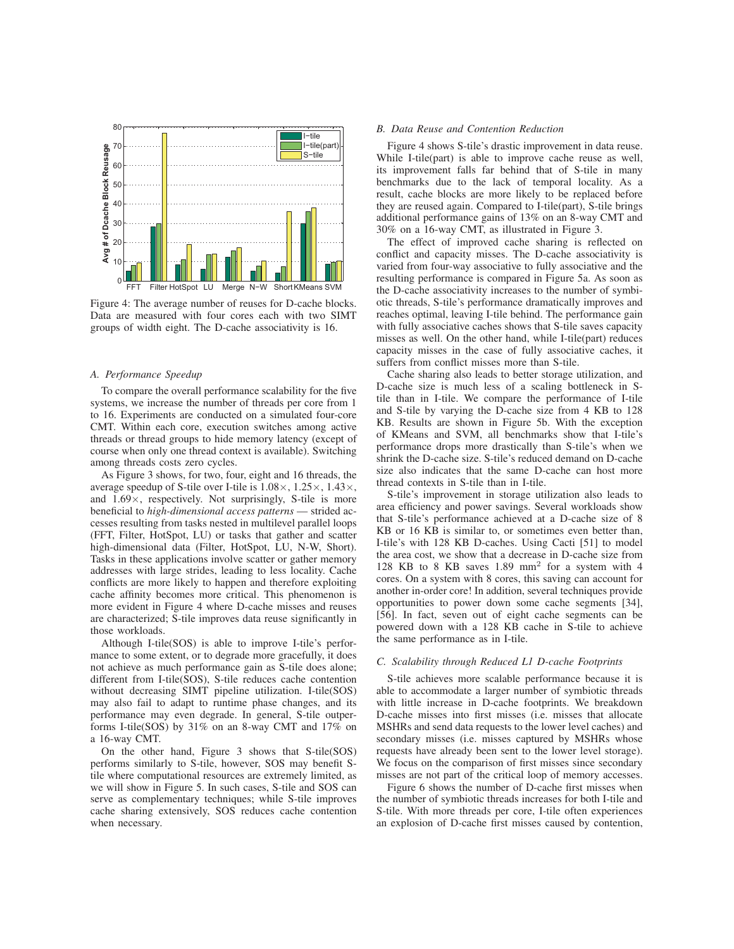

Figure 4: The average number of reuses for D-cache blocks. Data are measured with four cores each with two SIMT groups of width eight. The D-cache associativity is 16.

# *A. Performance Speedup*

To compare the overall performance scalability for the five systems, we increase the number of threads per core from 1 to 16. Experiments are conducted on a simulated four-core CMT. Within each core, execution switches among active threads or thread groups to hide memory latency (except of course when only one thread context is available). Switching among threads costs zero cycles.

As Figure 3 shows, for two, four, eight and 16 threads, the average speedup of S-tile over I-tile is  $1.08 \times$ ,  $1.25 \times$ ,  $1.43 \times$ , and 1.69×, respectively. Not surprisingly, S-tile is more beneficial to *high-dimensional access patterns* — strided accesses resulting from tasks nested in multilevel parallel loops (FFT, Filter, HotSpot, LU) or tasks that gather and scatter high-dimensional data (Filter, HotSpot, LU, N-W, Short). Tasks in these applications involve scatter or gather memory addresses with large strides, leading to less locality. Cache conflicts are more likely to happen and therefore exploiting cache affinity becomes more critical. This phenomenon is more evident in Figure 4 where D-cache misses and reuses are characterized; S-tile improves data reuse significantly in those workloads.

Although I-tile(SOS) is able to improve I-tile's performance to some extent, or to degrade more gracefully, it does not achieve as much performance gain as S-tile does alone; different from I-tile(SOS), S-tile reduces cache contention without decreasing SIMT pipeline utilization. I-tile(SOS) may also fail to adapt to runtime phase changes, and its performance may even degrade. In general, S-tile outperforms I-tile(SOS) by 31% on an 8-way CMT and 17% on a 16-way CMT.

On the other hand, Figure 3 shows that S-tile(SOS) performs similarly to S-tile, however, SOS may benefit Stile where computational resources are extremely limited, as we will show in Figure 5. In such cases, S-tile and SOS can serve as complementary techniques; while S-tile improves cache sharing extensively, SOS reduces cache contention when necessary.

#### *B. Data Reuse and Contention Reduction*

Figure 4 shows S-tile's drastic improvement in data reuse. While I-tile(part) is able to improve cache reuse as well, its improvement falls far behind that of S-tile in many benchmarks due to the lack of temporal locality. As a result, cache blocks are more likely to be replaced before they are reused again. Compared to I-tile(part), S-tile brings additional performance gains of 13% on an 8-way CMT and 30% on a 16-way CMT, as illustrated in Figure 3.

The effect of improved cache sharing is reflected on conflict and capacity misses. The D-cache associativity is varied from four-way associative to fully associative and the resulting performance is compared in Figure 5a. As soon as the D-cache associativity increases to the number of symbiotic threads, S-tile's performance dramatically improves and reaches optimal, leaving I-tile behind. The performance gain with fully associative caches shows that S-tile saves capacity misses as well. On the other hand, while I-tile(part) reduces capacity misses in the case of fully associative caches, it suffers from conflict misses more than S-tile.

Cache sharing also leads to better storage utilization, and D-cache size is much less of a scaling bottleneck in Stile than in I-tile. We compare the performance of I-tile and S-tile by varying the D-cache size from 4 KB to 128 KB. Results are shown in Figure 5b. With the exception of KMeans and SVM, all benchmarks show that I-tile's performance drops more drastically than S-tile's when we shrink the D-cache size. S-tile's reduced demand on D-cache size also indicates that the same D-cache can host more thread contexts in S-tile than in I-tile.

S-tile's improvement in storage utilization also leads to area efficiency and power savings. Several workloads show that S-tile's performance achieved at a D-cache size of 8 KB or 16 KB is similar to, or sometimes even better than, I-tile's with 128 KB D-caches. Using Cacti [51] to model the area cost, we show that a decrease in D-cache size from 128 KB to 8 KB saves 1.89 mm<sup>2</sup> for a system with 4 cores. On a system with 8 cores, this saving can account for another in-order core! In addition, several techniques provide opportunities to power down some cache segments [34], [56]. In fact, seven out of eight cache segments can be powered down with a 128 KB cache in S-tile to achieve the same performance as in I-tile.

#### *C. Scalability through Reduced L1 D-cache Footprints*

S-tile achieves more scalable performance because it is able to accommodate a larger number of symbiotic threads with little increase in D-cache footprints. We breakdown D-cache misses into first misses (i.e. misses that allocate MSHRs and send data requests to the lower level caches) and secondary misses (i.e. misses captured by MSHRs whose requests have already been sent to the lower level storage). We focus on the comparison of first misses since secondary misses are not part of the critical loop of memory accesses.

Figure 6 shows the number of D-cache first misses when the number of symbiotic threads increases for both I-tile and S-tile. With more threads per core, I-tile often experiences an explosion of D-cache first misses caused by contention,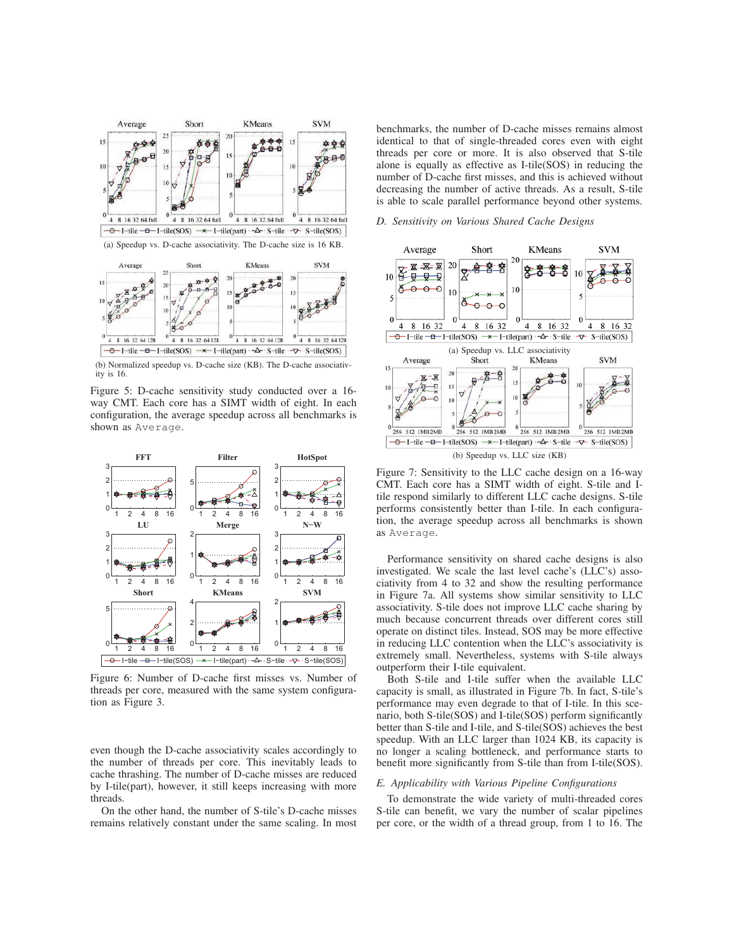

(b) Normalized speedup vs. D-cache size (KB). The D-cache associativity is 16.

Figure 5: D-cache sensitivity study conducted over a 16 way CMT. Each core has a SIMT width of eight. In each configuration, the average speedup across all benchmarks is shown as Average.



Figure 6: Number of D-cache first misses vs. Number of threads per core, measured with the same system configuration as Figure 3.

even though the D-cache associativity scales accordingly to the number of threads per core. This inevitably leads to cache thrashing. The number of D-cache misses are reduced by I-tile(part), however, it still keeps increasing with more threads.

On the other hand, the number of S-tile's D-cache misses remains relatively constant under the same scaling. In most benchmarks, the number of D-cache misses remains almost identical to that of single-threaded cores even with eight threads per core or more. It is also observed that S-tile alone is equally as effective as I-tile(SOS) in reducing the number of D-cache first misses, and this is achieved without decreasing the number of active threads. As a result, S-tile is able to scale parallel performance beyond other systems.

# *D. Sensitivity on Various Shared Cache Designs*



Figure 7: Sensitivity to the LLC cache design on a 16-way CMT. Each core has a SIMT width of eight. S-tile and Itile respond similarly to different LLC cache designs. S-tile performs consistently better than I-tile. In each configuration, the average speedup across all benchmarks is shown as Average.

Performance sensitivity on shared cache designs is also investigated. We scale the last level cache's (LLC's) associativity from 4 to 32 and show the resulting performance in Figure 7a. All systems show similar sensitivity to LLC associativity. S-tile does not improve LLC cache sharing by much because concurrent threads over different cores still operate on distinct tiles. Instead, SOS may be more effective in reducing LLC contention when the LLC's associativity is extremely small. Nevertheless, systems with S-tile always outperform their I-tile equivalent.

Both S-tile and I-tile suffer when the available LLC capacity is small, as illustrated in Figure 7b. In fact, S-tile's performance may even degrade to that of I-tile. In this scenario, both S-tile(SOS) and I-tile(SOS) perform significantly better than S-tile and I-tile, and S-tile(SOS) achieves the best speedup. With an LLC larger than 1024 KB, its capacity is no longer a scaling bottleneck, and performance starts to benefit more significantly from S-tile than from I-tile(SOS).

### *E. Applicability with Various Pipeline Configurations*

To demonstrate the wide variety of multi-threaded cores S-tile can benefit, we vary the number of scalar pipelines per core, or the width of a thread group, from 1 to 16. The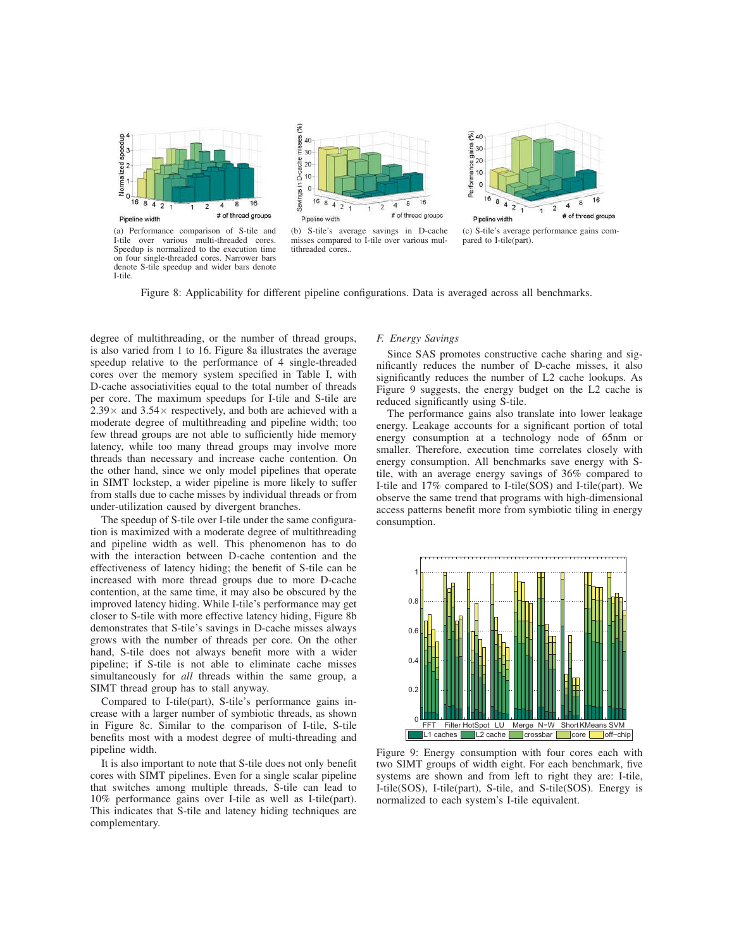

(a) Performance comparison of S-tile and I-tile over various multi-threaded cores. Speedup is normalized to the execution time on four single-threaded cores. Narrower bars denote S-tile speedup and wider bars denote I-tile.



(b) S-tile's average savings in D-cache misses compared to I-tile over various multithreaded cores..



(c) S-tile's average performance gains compared to I-tile(part).

Figure 8: Applicability for different pipeline configurations. Data is averaged across all benchmarks.

degree of multithreading, or the number of thread groups, is also varied from 1 to 16. Figure 8a illustrates the average speedup relative to the performance of 4 single-threaded cores over the memory system specified in Table I, with D-cache associativities equal to the total number of threads per core. The maximum speedups for I-tile and S-tile are  $2.39\times$  and  $3.54\times$  respectively, and both are achieved with a moderate degree of multithreading and pipeline width; too few thread groups are not able to sufficiently hide memory latency, while too many thread groups may involve more threads than necessary and increase cache contention. On the other hand, since we only model pipelines that operate in SIMT lockstep, a wider pipeline is more likely to suffer from stalls due to cache misses by individual threads or from under-utilization caused by divergent branches.

The speedup of S-tile over I-tile under the same configuration is maximized with a moderate degree of multithreading and pipeline width as well. This phenomenon has to do with the interaction between D-cache contention and the effectiveness of latency hiding; the benefit of S-tile can be increased with more thread groups due to more D-cache contention, at the same time, it may also be obscured by the improved latency hiding. While I-tile's performance may get closer to S-tile with more effective latency hiding, Figure 8b demonstrates that S-tile's savings in D-cache misses always grows with the number of threads per core. On the other hand, S-tile does not always benefit more with a wider pipeline; if S-tile is not able to eliminate cache misses simultaneously for *all* threads within the same group, a SIMT thread group has to stall anyway.

Compared to I-tile(part), S-tile's performance gains increase with a larger number of symbiotic threads, as shown in Figure 8c. Similar to the comparison of I-tile, S-tile benefits most with a modest degree of multi-threading and pipeline width.

It is also important to note that S-tile does not only benefit cores with SIMT pipelines. Even for a single scalar pipeline that switches among multiple threads, S-tile can lead to 10% performance gains over I-tile as well as I-tile(part). This indicates that S-tile and latency hiding techniques are complementary.

# *F. Energy Savings*

Since SAS promotes constructive cache sharing and significantly reduces the number of D-cache misses, it also significantly reduces the number of L2 cache lookups. As Figure 9 suggests, the energy budget on the L2 cache is reduced significantly using S-tile.

The performance gains also translate into lower leakage energy. Leakage accounts for a significant portion of total energy consumption at a technology node of 65nm or smaller. Therefore, execution time correlates closely with energy consumption. All benchmarks save energy with Stile, with an average energy savings of 36% compared to I-tile and 17% compared to I-tile(SOS) and I-tile(part). We observe the same trend that programs with high-dimensional access patterns benefit more from symbiotic tiling in energy consumption.



Figure 9: Energy consumption with four cores each with two SIMT groups of width eight. For each benchmark, five systems are shown and from left to right they are: I-tile, I-tile(SOS), I-tile(part), S-tile, and S-tile(SOS). Energy is normalized to each system's I-tile equivalent.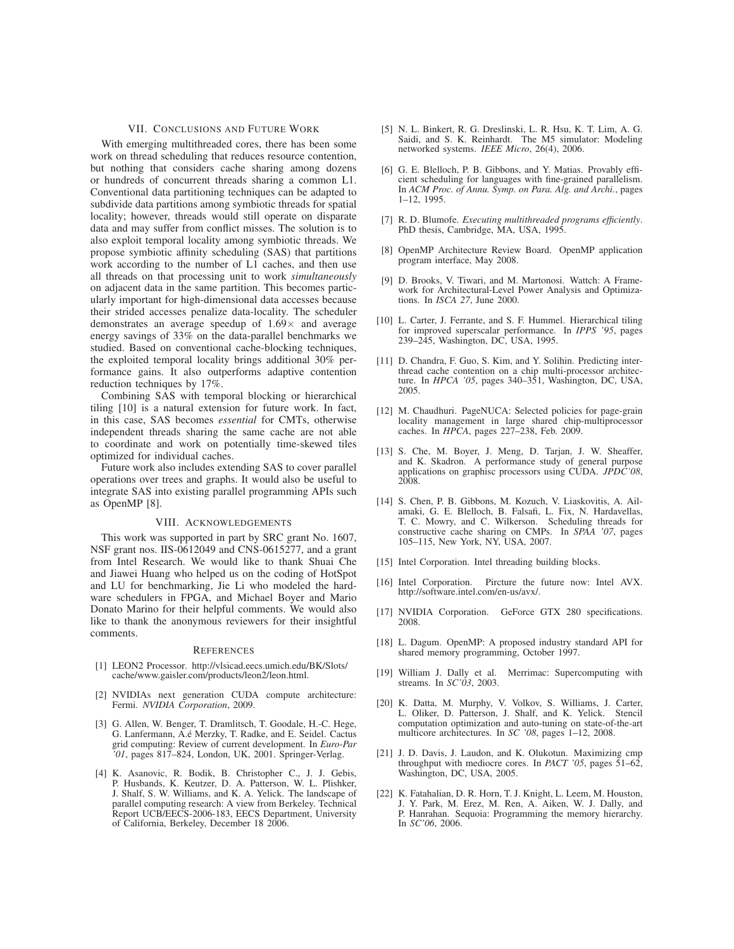#### VII. CONCLUSIONS AND FUTURE WORK

With emerging multithreaded cores, there has been some work on thread scheduling that reduces resource contention, but nothing that considers cache sharing among dozens or hundreds of concurrent threads sharing a common L1. Conventional data partitioning techniques can be adapted to subdivide data partitions among symbiotic threads for spatial locality; however, threads would still operate on disparate data and may suffer from conflict misses. The solution is to also exploit temporal locality among symbiotic threads. We propose symbiotic affinity scheduling (SAS) that partitions work according to the number of L1 caches, and then use all threads on that processing unit to work *simultaneously* on adjacent data in the same partition. This becomes particularly important for high-dimensional data accesses because their strided accesses penalize data-locality. The scheduler demonstrates an average speedup of  $1.69\times$  and average energy savings of 33% on the data-parallel benchmarks we studied. Based on conventional cache-blocking techniques, the exploited temporal locality brings additional 30% performance gains. It also outperforms adaptive contention reduction techniques by 17%.

Combining SAS with temporal blocking or hierarchical tiling [10] is a natural extension for future work. In fact, in this case, SAS becomes *essential* for CMTs, otherwise independent threads sharing the same cache are not able to coordinate and work on potentially time-skewed tiles optimized for individual caches.

Future work also includes extending SAS to cover parallel operations over trees and graphs. It would also be useful to integrate SAS into existing parallel programming APIs such as OpenMP [8].

# VIII. ACKNOWLEDGEMENTS

This work was supported in part by SRC grant No. 1607, NSF grant nos. IIS-0612049 and CNS-0615277, and a grant from Intel Research. We would like to thank Shuai Che and Jiawei Huang who helped us on the coding of HotSpot and LU for benchmarking, Jie Li who modeled the hardware schedulers in FPGA, and Michael Boyer and Mario Donato Marino for their helpful comments. We would also like to thank the anonymous reviewers for their insightful comments.

#### **REFERENCES**

- [1] LEON2 Processor. http://vlsicad.eecs.umich.edu/BK/Slots/ cache/www.gaisler.com/products/leon2/leon.html.
- [2] NVIDIAs next generation CUDA compute architecture: Fermi. *NVIDIA Corporation*, 2009.
- [3] G. Allen, W. Benger, T. Dramlitsch, T. Goodale, H.-C. Hege, G. Lanfermann, A.é Merzky, T. Radke, and E. Seidel. Cactus grid computing: Review of current development. In *Euro-Par '01*, pages 817–824, London, UK, 2001. Springer-Verlag.
- [4] K. Asanovic, R. Bodik, B. Christopher C., J. J. Gebis, P. Husbands, K. Keutzer, D. A. Patterson, W. L. Plishker, J. Shalf, S. W. Williams, and K. A. Yelick. The landscape of parallel computing research: A view from Berkeley. Technical Report UCB/EECS-2006-183, EECS Department, University of California, Berkeley, December 18 2006.
- [5] N. L. Binkert, R. G. Dreslinski, L. R. Hsu, K. T. Lim, A. G. Saidi, and S. K. Reinhardt. The M5 simulator: Modeling networked systems. *IEEE Micro*, 26(4), 2006.
- [6] G. E. Blelloch, P. B. Gibbons, and Y. Matias. Provably efficient scheduling for languages with fine-grained parallelism. In *ACM Proc. of Annu. Symp. on Para. Alg. and Archi.*, pages 1–12, 1995.
- [7] R. D. Blumofe. *Executing multithreaded programs efficiently*. PhD thesis, Cambridge, MA, USA, 1995.
- [8] OpenMP Architecture Review Board. OpenMP application program interface, May 2008.
- [9] D. Brooks, V. Tiwari, and M. Martonosi. Wattch: A Framework for Architectural-Level Power Analysis and Optimizations. In *ISCA 27*, June 2000.
- [10] L. Carter, J. Ferrante, and S. F. Hummel. Hierarchical tiling for improved superscalar performance. In *IPPS '95*, pages 239–245, Washington, DC, USA, 1995.
- [11] D. Chandra, F. Guo, S. Kim, and Y. Solihin. Predicting interthread cache contention on a chip multi-processor architecture. In *HPCA '05*, pages 340–351, Washington, DC, USA, 2005.
- [12] M. Chaudhuri. PageNUCA: Selected policies for page-grain locality management in large shared chip-multiprocessor caches. In *HPCA*, pages 227–238, Feb. 2009.
- [13] S. Che, M. Boyer, J. Meng, D. Tarjan, J. W. Sheaffer, and K. Skadron. A performance study of general purpose applications on graphisc processors using CUDA. *JPDC'08*, 2008.
- [14] S. Chen, P. B. Gibbons, M. Kozuch, V. Liaskovitis, A. Ailamaki, G. E. Blelloch, B. Falsafi, L. Fix, N. Hardavellas, T. C. Mowry, and C. Wilkerson. Scheduling threads for constructive cache sharing on CMPs. In *SPAA '07*, pages 105–115, New York, NY, USA, 2007.
- [15] Intel Corporation. Intel threading building blocks.
- [16] Intel Corporation. Pircture the future now: Intel AVX. http://software.intel.com/en-us/avx/.
- [17] NVIDIA Corporation. GeForce GTX 280 specifications. 2008.
- [18] L. Dagum. OpenMP: A proposed industry standard API for shared memory programming, October 1997.
- [19] William J. Dally et al. Merrimac: Supercomputing with streams. In *SC'03*, 2003.
- [20] K. Datta, M. Murphy, V. Volkov, S. Williams, J. Carter, L. Oliker, D. Patterson, J. Shalf, and K. Yelick. Stencil computation optimization and auto-tuning on state-of-the-art multicore architectures. In *SC '08*, pages 1–12, 2008.
- [21] J. D. Davis, J. Laudon, and K. Olukotun. Maximizing cmp throughput with mediocre cores. In *PACT '05*, pages 51–62, Washington, DC, USA, 2005.
- [22] K. Fatahalian, D. R. Horn, T. J. Knight, L. Leem, M. Houston, J. Y. Park, M. Erez, M. Ren, A. Aiken, W. J. Dally, and P. Hanrahan. Sequoia: Programming the memory hierarchy. In *SC'06*, 2006.